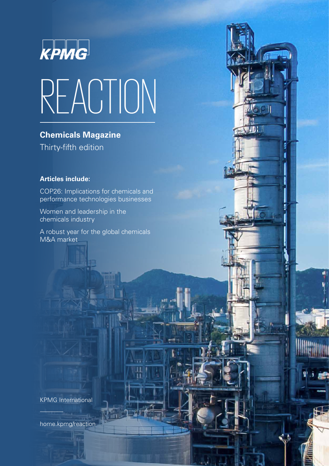

# REACTION

 $601$ 

**Chemicals Magazine** Thirty-fifth edition

### **Articles include:**

COP26: Implications for chemicals and performance technologies businesses

Women and leadership in the chemicals industry

A robust year for the global chemicals M&A market

KPMG International

[home.kpmg/reaction](http://home.kpmg/reaction)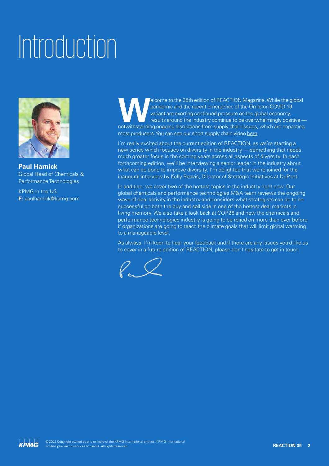### Introduction



**Paul Harnick** Global Head of Chemicals & Performance Technologies

KPMG in the US **E:** paulharnick@kpmg.com

Elcome to the 35th edition of REACTION Magazine. While the global pandemic and the recent emergence of the Omicron COVID-19 variant are exerting continued pressure on the global economy, results around the industry continu pandemic and the recent emergence of the Omicron COVID-19 variant are exerting continued pressure on the global economy, results around the industry continue to be overwhelmingly positive most producers. You can see our short supply chain video [here.](https://www.youtube.com/watch?v=Ajtk9PZsNnU)

I'm really excited about the current edition of REACTION, as we're starting a new series which focuses on diversity in the industry — something that needs much greater focus in the coming years across all aspects of diversity. In each forthcoming edition, we'll be interviewing a senior leader in the industry about what can be done to improve diversity. I'm delighted that we're joined for the inaugural interview by Kelly Reavis, Director of Strategic Initiatives at DuPont.

In addition, we cover two of the hottest topics in the industry right now. Our global chemicals and performance technologies M&A team reviews the ongoing wave of deal activity in the industry and considers what strategists can do to be successful on both the buy and sell side in one of the hottest deal markets in living memory. We also take a look back at COP26 and how the chemicals and performance technologies industry is going to be relied on more than ever before if organizations are going to reach the climate goals that will limit global warming to a manageable level.

As always, I'm keen to hear your feedback and if there are any issues you'd like us to cover in a future edition of REACTION, please don't hesitate to get in touch.



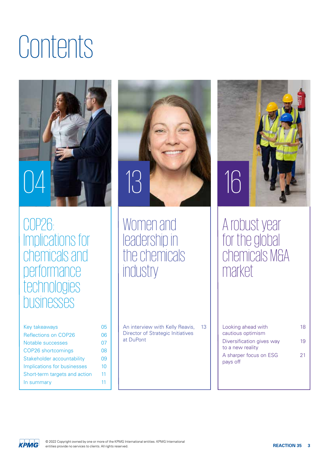### Contents



COP26: Implications for chemicals and **performance** technologies businesses

| Key takeaways                 | 05 |
|-------------------------------|----|
| Reflections on COP26          | 06 |
| Notable successes             | 07 |
| COP26 shortcomings            | 08 |
| Stakeholder accountability    | 09 |
| Implications for businesses   | 10 |
| Short-term targets and action | 11 |
| In summary                    | 11 |
|                               |    |



Women and leadership in the chemicals industry

An interview with Kelly Reavis, Director of Strategic Initiatives at DuPont



### A robust year for the global chemicals M&A market

13 | Looking ahead with 18 cautious optimism Diversification gives way to a new reality A sharper focus on ESG pays off 19 21

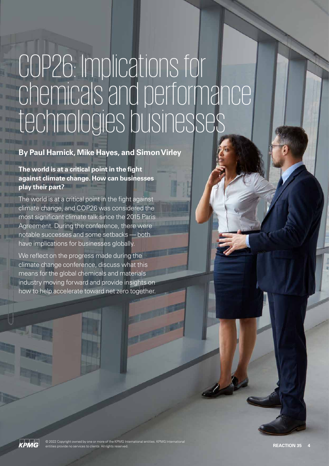### COP26: Implications for chemicals and performance technologies businesses

### **By Paul Harnick, Mike Hayes, and Simon Virley**

**The world is at a critical point in the fight against climate change. How can businesses play their part?**

The world is at a critical point in the fight against climate change, and COP26 was considered the most significant climate talk since the 2015 Paris Agreement. During the conference, there were notable successes and some setbacks — both have implications for businesses globally.

We reflect on the progress made during the climate change conference, discuss what this means for the global chemicals and materials industry moving forward and provide insights on how to help accelerate toward net zero together.

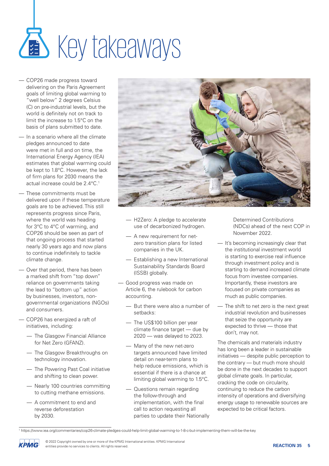## **CED** Key takeaways

- COP26 made progress toward delivering on the Paris Agreement goals of limiting global warming to "well below" 2 degrees Celsius (C) on pre-industrial levels, but the world is definitely not on track to limit the increase to 1.5°C on the basis of plans submitted to date.
- In a scenario where all the climate pledges announced to date were met in full and on time, the International Energy Agency (IEA) estimates that global warming could be kept to 1.8°C. However, the lack of firm plans for 2030 means the actual increase could be 2.4°C.<sup>1</sup>
- These commitments must be delivered upon if these temperature goals are to be achieved. This still represents progress since Paris, where the world was heading for 3°C to 4°C of warming, and COP26 should be seen as part of that ongoing process that started nearly 30 years ago and now plans to continue indefinitely to tackle climate change.
- Over that period, there has been a marked shift from "top down" reliance on governments taking the lead to "bottom up" action by businesses, investors, nongovernmental organizations (NGOs) and consumers.
- COP26 has energized a raft of initiatives, including:
	- The Glasgow Financial Alliance for Net Zero (GFANZ).
	- The Glasgow Breakthroughs on technology innovation.
	- The Powering Past Coal initiative and shifting to clean power.
	- Nearly 100 countries committing to cutting methane emissions.
	- A commitment to end and reverse deforestation by 2030.



- H2Zero: A pledge to accelerate use of decarbonized hydrogen.
- A new requirement for netzero transition plans for listed companies in the UK.
- Establishing a new International Sustainability Standards Board (ISSB) globally.
- Good progress was made on Article 6, the rulebook for carbon accounting.
	- But there were also a number of setbacks:
	- The US\$100 billion per year climate finance target — due by 2020 — was delayed to 2023.
	- Many of the new net-zero targets announced have limited detail on near-term plans to help reduce emissions, which is essential if there is a chance at limiting global warming to 1.5°C.
	- Questions remain regarding the follow-through and implementation, with the final call to action requesting all parties to update their Nationally

Determined Contributions (NDCs) ahead of the next COP in November 2022.

- It's becoming increasingly clear that the institutional investment world is starting to exercise real influence through investment policy and is starting to demand increased climate focus from investee companies. Importantly, these investors are focused on private companies as much as public companies.
- The shift to net zero is the next great industrial revolution and businesses that seize the opportunity are expected to thrive — those that don't, may not.

The chemicals and materials industry has long been a leader in sustainable initiatives — despite public perception to the contrary — but much more should be done in the next decades to support global climate goals. In particular, cracking the code on circularity, continuing to reduce the carbon intensity of operations and diversifying energy usage to renewable sources are expected to be critical factors.



<sup>1</sup> https://www.iea.org/commentaries/cop26-climate-pledges-could-help-limit-global-warming-to-1-8-c-but-implementing-them-will-be-the-key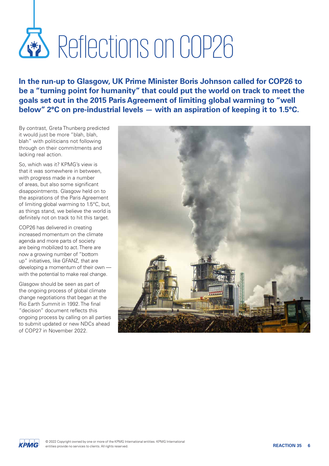## Reflectionson COP26

**In the run-up to Glasgow, UK Prime Minister Boris Johnson called for COP26 to be a "turning point for humanity" that could put the world on track to meet the goals set out in the 2015 Paris Agreement of limiting global warming to "well below" 2°C on pre-industrial levels — with an aspiration of keeping it to 1.5°C.** 

By contrast, Greta Thunberg predicted it would just be more "blah, blah, blah" with politicians not following through on their commitments and lacking real action.

So, which was it? KPMG's view is that it was somewhere in between, with progress made in a number of areas, but also some significant disappointments. Glasgow held on to the aspirations of the Paris Agreement of limiting global warming to 1.5°C, but, as things stand, we believe the world is definitely not on track to hit this target.

COP26 has delivered in creating increased momentum on the climate agenda and more parts of society are being mobilized to act. There are now a growing number of "bottom up" initiatives, like GFANZ, that are developing a momentum of their own with the potential to make real change.

Glasgow should be seen as part of the ongoing process of global climate change negotiations that began at the Rio Earth Summit in 1992. The final "decision" document reflects this ongoing process by calling on all parties to submit updated or new NDCs ahead of COP27 in November 2022.



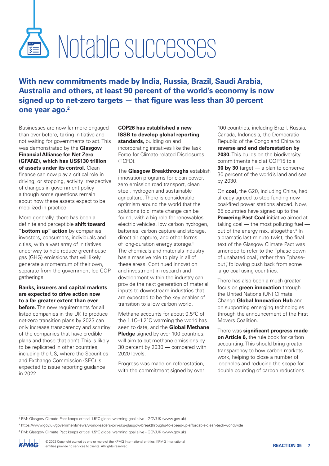## **SED Notable successes**

(TCFD).

**With new commitments made by India, Russia, Brazil, Saudi Arabia, Australia and others, at least 90 percent of the world's economy is now signed up to net-zero targets — that figure was less than 30 percent one year ago.2**

Businesses are now far more engaged than ever before, taking initiative and not waiting for governments to act. This was demonstrated by the **Glasgow Financial Alliance for Net Zero (GFANZ), which has US\$130 trillion of assets under its control.** Clean finance can now play a critical role in driving, or stopping, activity irrespective of changes in government policy although some questions remain about how these assets expect to be mobilized in practice.

More generally, there has been a definite and perceptible **shift toward "bottom up" action** by companies, investors, consumers, individuals and cities, with a vast array of initiatives underway to help reduce greenhouse gas (GHG) emissions that will likely generate a momentum of their own, separate from the government-led COP gatherings.

### **Banks, insurers and capital markets are expected to drive action now to a far greater extent than ever**

**before.** The new requirements for all listed companies in the UK to produce net-zero transition plans by 2023 can only increase transparency and scrutiny of the companies that have credible plans and those that don't. This is likely to be replicated in other countries, including the US, where the Securities and Exchange Commission (SEC) is expected to issue reporting guidance in 2022.

### **COP26 has established a new ISSB to develop global reporting standards,** building on and incorporating initiatives like the Task Force for Climate-related Disclosures

The **Glasgow Breakthroughs** establish innovation programs for clean power, zero emission road transport, clean steel, hydrogen and sustainable agriculture. There is considerable optimism around the world that the solutions to climate change can be found, with a big role for renewables, electric vehicles, low carbon hydrogen, batteries, carbon capture and storage, direct air capture, and other forms of long-duration energy storage.3 The chemicals and materials industry has a massive role to play in all of these areas. Continued innovation and investment in research and development within the industry can provide the next generation of material inputs to downstream industries that are expected to be the key enabler of transition to a low carbon world.

Methane accounts for about 0.5°C of the 1.1C–1.2°C warming the world has seen to date, and the **Global Methane Pledge** signed by over 100 countries, will aim to cut methane emissions by 30 percent by 2030 — compared with 2020 levels.

Progress was made on reforestation, with the commitment signed by over

100 countries, including Brazil, Russia, Canada, Indonesia, the Democratic Republic of the Congo and China to **reverse and end deforestation by 2030.** This builds on the biodiversity commitments held at COP15 to a **30 by 30** target — a plan to conserve 30 percent of the world's land and sea by 2030.

On **coal,** the G20, including China, had already agreed to stop funding new coal-fired power stations abroad. Now, 65 countries have signed up to the **Powering Past Coal** initiative aimed at taking coal — the most polluting fuel out of the energy mix, altogether.<sup>4</sup> In a dramatic last-minute twist, the final text of the Glasgow Climate Pact was amended to refer to the "phase-down of unabated coal", rather than "phaseout", following push back from some large coal-using countries.

There has also been a much greater focus on **green innovation** through the United Nations (UN) Climate Change **Global Innovation Hub** and on supporting emerging technologies through the announcement of the First Movers Coalition.

There was **significant progress made on Article 6,** the rule book for carbon accounting. This should bring greater transparency to how carbon markets work, helping to close a number of loopholes and reducing the scope for double counting of carbon reductions.

<sup>4</sup> PM: Glasgow Climate Pact keeps critical 1.5°C global warming goal alive - GOV.UK (www.gov.uk)



<sup>&</sup>lt;sup>2</sup> PM: Glasgow Climate Pact keeps critical 1.5°C global warming goal alive - GOV.UK (www.gov.uk)

<sup>3</sup> https://www.gov.uk/government/news/world-leaders-join-uks-glasgow-breakthroughs-to-speed-up-affordable-clean-tech-worldwide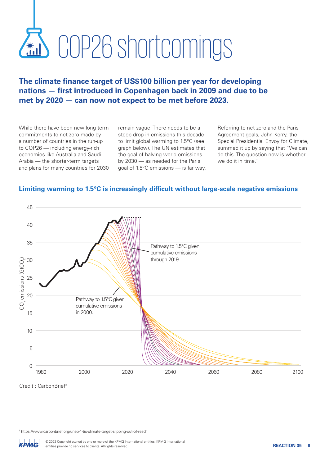## COP26 shortcomings

### **The climate finance target of US\$100 billion per year for developing nations — first introduced in Copenhagen back in 2009 and due to be met by 2020 — can now not expect to be met before 2023.**

While there have been new long-term commitments to net zero made by a number of countries in the run-up to COP26 — including energy-rich economies like Australia and Saudi Arabia — the shorter-term targets and plans for many countries for 2030 remain vague. There needs to be a steep drop in emissions this decade to limit global warming to 1.5°C (see graph below). The UN estimates that the goal of halving world emissions by 2030 — as needed for the Paris goal of 1.5°C emissions — is far way.

Referring to net zero and the Paris Agreement goals, John Kerry, the Special Presidential Envoy for Climate, summed it up by saying that "We can do this. The question now is whether we do it in time."



### **Limiting warming to 1.5°C is increasingly difficult without large-scale negative emissions**

Credit : CarbonBrief5

<sup>5</sup> https://www.carbonbrief.org/unep-1-5c-climate-target-slipping-out-of-reach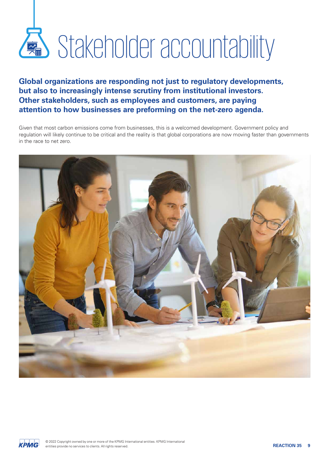# Stakeholder accountability

### **Global organizations are responding not just to regulatory developments, but also to increasingly intense scrutiny from institutional investors. Other stakeholders, such as employees and customers, are paying attention to how businesses are preforming on the net-zero agenda.**

Given that most carbon emissions come from businesses, this is a welcomed development. Government policy and regulation will likely continue to be critical and the reality is that global corporations are now moving faster than governments in the race to net zero.



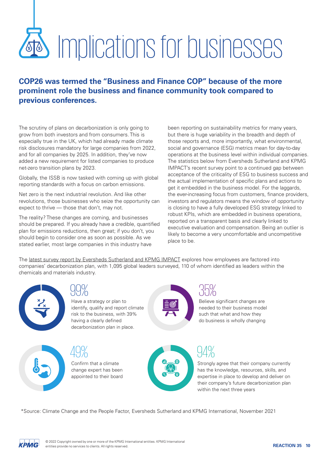# Implications for businesses

**COP26 was termed the "Business and Finance COP" because of the more prominent role the business and finance community took compared to previous conferences.**

The scrutiny of plans on decarbonization is only going to grow from both investors and from consumers. This is especially true in the UK, which had already made climate risk disclosures mandatory for large companies from 2022, and for all companies by 2025. In addition, they've now added a new requirement for listed companies to produce net-zero transition plans by 2023.

Globally, the ISSB is now tasked with coming up with global reporting standards with a focus on carbon emissions.

Net zero is the next industrial revolution. And like other revolutions, those businesses who seize the opportunity can expect to thrive — those that don't, may not.

The reality? These changes are coming, and businesses should be prepared. If you already have a credible, quantified plan for emissions reductions, then great; if you don't, you should begin to consider one as soon as possible. As we stated earlier, most large companies in this industry have

been reporting on sustainability metrics for many years, but there is huge variability in the breadth and depth of those reports and, more importantly, what environmental, social and governance (ESG) metrics mean for day-to-day operations at the business level within individual companies. The statistics below from Eversheds Sutherland and KPMG IMPACT's recent survey point to a continued gap between acceptance of the criticality of ESG to business success and the actual implementation of specific plans and actions to get it embedded in the business model. For the laggards, the ever-increasing focus from customers, finance providers, investors and regulators means the window of opportunity is closing to have a fully developed ESG strategy linked to robust KPIs, which are embedded in business operations, reported on a transparent basis and clearly linked to executive evaluation and compensation. Being an outlier is likely to become a very uncomfortable and uncompetitive place to be.

The [latest survey report by Eversheds Sutherland and KPMG IMPACT](https://home.kpmg/xx/en/home/insights/2021/11/climate-change-and-the-people-factor.html?cid=linkd_soc_xx-acx_2021-brnd-cop26&utm_medium=soc&utm_source=linkd&utm_content=xx-acx&utm_campaign=2021-brnd-cop26) explores how employees are factored into companies' decarbonization plan, with 1,095 global leaders surveyed, 110 of whom identified as leaders within the chemicals and materials industry.





Have a strategy or plan to identify, qualify and report climate risk to the business, with 39% having a clearly defined decarbonization plan in place.

Confirm that a climate change expert has been appointed to their board 49%



### 35%

Believe significant changes are needed to their business model such that what and how they do business is wholly changing

Strongly agree that their company currently has the knowledge, resources, skills, and expertise in place to develop and deliver on their company's future decarbonization plan within the next three years 94%

\*Source: Climate Change and the People Factor, Eversheds Sutherland and KPMG International, November 2021

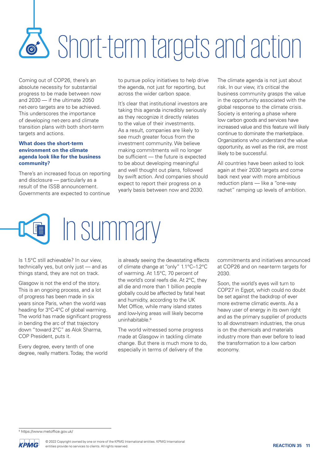## Short-term targets and action

Coming out of COP26, there's an absolute necessity for substantial progress to be made between now and 2030 — if the ultimate 2050 net-zero targets are to be achieved. This underscores the importance of developing net-zero and climate transition plans with both short-term targets and actions.

### **What does the short-term environment on the climate agenda look like for the business community?**

There's an increased focus on reporting and disclosure — particularly as a result of the ISSB announcement. Governments are expected to continue to pursue policy initiatives to help drive the agenda, not just for reporting, but across the wider carbon space.

It's clear that institutional investors are taking this agenda incredibly seriously as they recognize it directly relates to the value of their investments. As a result, companies are likely to see much greater focus from the investment community. We believe making commitments will no longer be sufficient — the future is expected to be about developing meaningful and well thought out plans, followed by swift action. And companies should expect to report their progress on a yearly basis between now and 2030.

The climate agenda is not just about risk. In our view, it's critical the business community grasps the value in the opportunity associated with the global response to the climate crisis. Society is entering a phase where low carbon goods and services have increased value and this feature will likely continue to dominate the marketplace. Organizations who understand the value opportunity, as well as the risk, are most likely to be successful.

All countries have been asked to look again at their 2030 targets and come back next year with more ambitious reduction plans — like a "one-way rachet" ramping up levels of ambition.



Is 1.5°C still achievable? In our view, technically yes, but only just — and as things stand, they are not on track.

Glasgow is not the end of the story. This is an ongoing process, and a lot of progress has been made in six years since Paris, when the world was heading for 3°C-4°C of global warming. The world has made significant progress in bending the arc of that trajectory down "toward 2°C" as Alok Sharma, COP President, puts it.

Every degree, every tenth of one degree, really matters. Today, the world is already seeing the devastating effects of climate change at "only" 1.1°C–1.2°C of warming. At 1.5°C, 70 percent of the world's coral reefs die. At 2°C, they all die and more than 1 billion people globally could be affected by fatal heat and humidity, according to the UK Met Office, while many island states and low-lying areas will likely become uninhabitable.<sup>6</sup>

The world witnessed some progress made at Glasgow in tackling climate change. But there is much more to do, especially in terms of delivery of the

commitments and initiatives announced at COP26 and on near-term targets for 2030.

Soon, the world's eyes will turn to COP27 in Egypt, which could no doubt be set against the backdrop of ever more extreme climatic events. As a heavy user of energy in its own right and as the primary supplier of products to all downstream industries, the onus is on the chemicals and materials industry more than ever before to lead the transformation to a low carbon economy.

<sup>6</sup> https://www.metoffice.gov.uk/

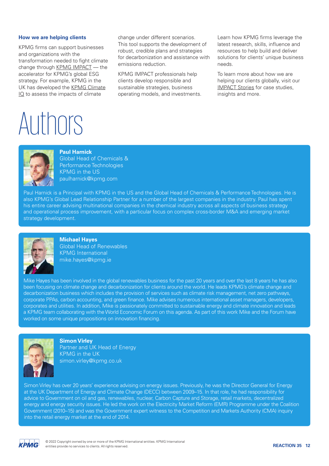### **How we are helping clients**

KPMG firms can support businesses and organizations with the transformation needed to fight climate change through [KPMG IMPACT](https://home.kpmg/xx/en/home/insights/2020/06/kpmg-impact.html) - the accelerator for KPMG's global ESG strategy. For example, KPMG in the UK has developed the [KPMG Climate](https://home.kpmg/uk/en/home/insights/2021/04/climate-iq.html)   $IO$  to assess the impacts of climate

Authors

change under different scenarios. This tool supports the development of robust, credible plans and strategies for decarbonization and assistance with emissions reduction.

KPMG IMPACT professionals help clients develop responsible and sustainable strategies, business operating models, and investments. Learn how KPMG firms leverage the latest research, skills, influence and resources to help build and deliver solutions for clients' unique business needs.

To learn more about how we are helping our clients globally, visit our [IMPACT Stories](https://home.kpmg/xx/en/home/insights/2021/03/impact-stories.html) for case studies, insights and more.



### **Paul Harnick**

Global Head of Chemicals & Performance Technologies KPMG in the US paulharnick@kpmg.com

Paul Harnick is a Principal with KPMG in the US and the Global Head of Chemicals & Performance Technologies. He is also KPMG's Global Lead Relationship Partner for a number of the largest companies in the industry. Paul has spent his entire career advising multinational companies in the chemical industry across all aspects of business strategy and operational process improvement, with a particular focus on complex cross-border M&A and emerging market strategy development.



**Michael Hayes** Global Head of Renewables KPMG International mike.hayes@kpmg.ie

Mike Hayes has been involved in the global renewables business for the past 20 years and over the last 8 years he has also been focusing on climate change and decarbonization for clients around the world. He leads KPMG's climate change and decarbonization business which includes the provision of services such as climate risk management, net zero pathways, corporate PPAs, carbon accounting, and green finance. Mike advises numerous international asset managers, developers, corporates and utilities. In addition, Mike is passionately committed to sustainable energy and climate innovation and leads a KPMG team collaborating with the World Economic Forum on this agenda. As part of this work Mike and the Forum have worked on some unique propositions on innovation financing.



**Simon Virley** Partner and UK Head of Energy KPMG in the UK simon.virley@kpmg.co.uk

Simon Virley has over 20 years' experience advising on energy issues. Previously, he was the Director General for Energy at the UK Department of Energy and Climate Change (DECC) between 2009–15. In that role, he had responsibility for advice to Government on oil and gas, renewables, nuclear, Carbon Capture and Storage, retail markets, decentralized energy and energy security issues. He led the work on the Electricity Market Reform (EMR) Programme under the Coalition Government (2010–15) and was the Government expert witness to the Competition and Markets Authority (CMA) inquiry into the retail energy market at the end of 2014.

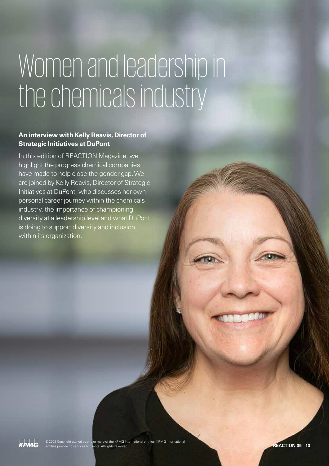### Womenand leadership in the chemicals industry

### **An interview with Kelly Reavis, Director of Strategic Initiatives at DuPont**

In this edition of REACTION Magazine, we highlight the progress chemical companies have made to help close the gender gap. We are joined by Kelly Reavis, Director of Strategic Initiatives at DuPont, who discusses her own personal career journey within the chemicals industry, the importance of championing diversity at a leadership level and what DuPont is doing to support diversity and inclusion within its organization.

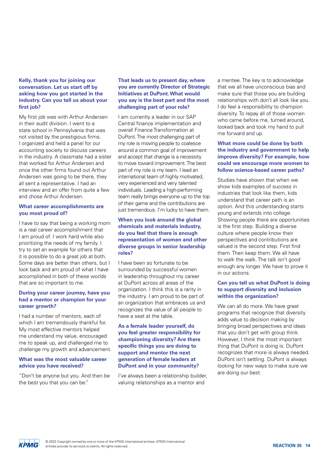### **Kelly, thank you for joining our conversation. Let us start off by asking how you got started in the industry. Can you tell us about your first job?**

My first job was with Arthur Andersen in their audit division. I went to a state school in Pennsylvania that was not visited by the prestigious firms. I organized and held a panel for our accounting society to discuss careers in the industry. A classmate had a sister that worked for Arthur Andersen and once the other firms found out Arthur Andersen was going to be there, they all sent a representative. I had an interview and an offer from quite a few and chose Arthur Andersen.

### **What career accomplishments are you most proud of?**

I have to say that being a working mom is a real career accomplishment that I am proud of. I work hard while also prioritizing the needs of my family. I try to set an example for others that it is possible to do a great job at both. Some days are better than others, but I look back and am proud of what I have accomplished in both of these worlds that are so important to me.

### **During your career journey, have you had a mentor or champion for your career growth?**

I had a number of mentors, each of which I am tremendously thankful for. My most effective mentors helped me understand my value, encouraged me to speak up, and challenged me to challenge my growth and advancement.

### **What was the most valuable career advice you have received?**

"Don't be anyone but you. And then be the best you that you can be."

### **That leads us to present day, where you are currently Director of Strategic Initiatives at DuPont. What would you say is the best part and the most challenging part of your role?**

I am currently a leader in our SAP Central finance implementation and overall Finance Transformation at DuPont. The most challenging part of my role is moving people to coalesce around a common goal of improvement and accept that change is a necessity to move toward improvement. The best part of my role is my team. I lead an international team of highly motivated, very experienced and very talented individuals. Leading a high-performing team really brings everyone up to the top of their game and the contributions are just tremendous. I'm lucky to have them.

### **When you look around the global chemicals and materials industry, do you feel that there is enough representation of women and other diverse groups in senior leadership roles?**

I have been so fortunate to be surrounded by successful women in leadership throughout my career at DuPont across all areas of the organization. I think this is a rarity in the industry. I am proud to be part of an organization that embraces us and recognizes the value of all people to have a seat at the table.

### **As a female leader yourself, do you feel greater responsibility for championing diversity? Are there specific things you are doing to support and mentor the next generation of female leaders at DuPont and in your community?**

I've always been a relationship builder, valuing relationships as a mentor and

a mentee. The key is to acknowledge that we all have unconscious bias and make sure that those you are building relationships with don't all look like you. I do feel a responsibility to champion diversity. To repay all of those women who came before me, turned around, looked back and took my hand to pull me forward and up.

### **What more could be done by both the industry and government to help improve diversity? For example, how could we encourage more women to follow science-based career paths?**

Studies have shown that when we show kids examples of success in industries that look like them, kids understand that career path is an option. And this understanding starts young and extends into college. Showing people there are opportunities is the first step. Building a diverse culture where people know their perspectives and contributions are valued is the second step. First find them. Then keep them. We all have to walk the walk. The talk isn't good enough any longer. We have to prove it in our actions.

### **Can you tell us what DuPont is doing to support diversity and inclusion within the organization?**

We can all do more. We have great programs that recognize that diversity adds value to decision making by bringing broad perspectives and ideas that you don't get with group think. However, I think the most important thing that DuPont is doing is: DuPont recognizes that more is always needed. DuPont isn't settling. DuPont is always looking for new ways to make sure we are doing our best.

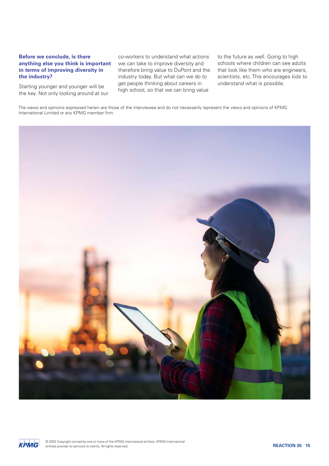### **Before we conclude, is there anything else you think is important in terms of improving diversity in the industry?**

Starting younger and younger will be the key. Not only looking around at our

co-workers to understand what actions we can take to improve diversity and therefore bring value to DuPont and the industry today. But what can we do to get people thinking about careers in high school, so that we can bring value

to the future as well. Going to high schools where children can see adults that look like them who are engineers, scientists, etc. This encourages kids to understand what is possible.

The views and opinions expressed herein are those of the interviewee and do not necessarily represent the views and opinions of KPMG International Limited or any KPMG member firm.



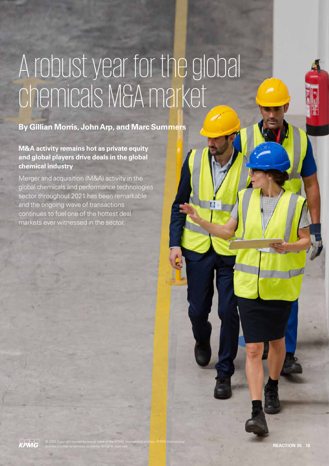### A robust year for the global chemicals M&A market

### **By Gillian Morris, John Arp, and Marc Summers**

© 2022 Copyright owned by one or more of the KPMG International entities. KPMG International

**M&A activity remains hot as private equity and global players drive deals in the global chemical industry**

Merger and acquisition (M&A) activity in the global chemicals and performance technologies sector throughout 2021 has been remarkable and the ongoing wave of transactions continues to fuel one of the hottest deal markets ever witnessed in the sector.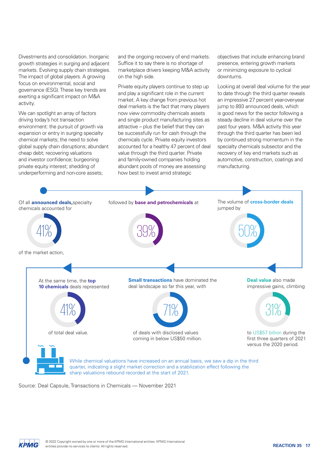Divestments and consolidation. Inorganic growth strategies in surging and adjacent markets. Evolving supply chain strategies. The impact of global players. A growing focus on environmental, social and governance (ESG). These key trends are exerting a significant impact on M&A activity.

We can spotlight an array of factors driving today's hot transaction environment: the pursuit of growth via expansion or entry in surging specialty chemical markets; the need to solve global supply chain disruptions; abundant cheap debt; recovering valuations and investor confidence; burgeoning private equity interest; shedding of underperforming and non-core assets;

and the ongoing recovery of end markets. Suffice it to say there is no shortage of marketplace drivers keeping M&A activity on the high side.

Private equity players continue to step up and play a significant role in the current market. A key change from previous hot deal markets is the fact that many players now view commodity chemicals assets and single product manufacturing sites as attractive – plus the belief that they can be successfully run for cash through the chemicals cycle. Private equity investors accounted for a healthy 47 percent of deal value through the third quarter. Private and family-owned companies holding abundant pools of money are assessing how best to invest amid strategic

objectives that include enhancing brand presence, entering growth markets or minimizing exposure to cyclical downturns.

Looking at overall deal volume for the year to date through the third quarter reveals an impressive 27 percent year-over-year jump to 893 announced deals, which is good news for the sector following a steady decline in deal volume over the past four years. M&A activity this year through the third quarter has been led by continued strong momentum in the specialty chemicals subsector and the recovery of key end markets such as automotive, construction, coatings and manufacturing.



Source: Deal Capsule, Transactions in Chemicals — November 2021

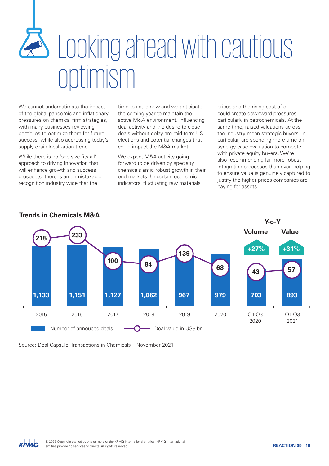## **B** Looking ahead with cautious optimism

We cannot underestimate the impact of the global pandemic and inflationary pressures on chemical firm strategies, with many businesses reviewing portfolios to optimize them for future success, while also addressing today's supply chain localization trend.

While there is no 'one-size-fits-all' approach to driving innovation that will enhance growth and success prospects, there is an unmistakable recognition industry wide that the

time to act is now and we anticipate the coming year to maintain the active M&A environment. Influencing deal activity and the desire to close deals without delay are mid-term US elections and potential changes that could impact the M&A market.

We expect M&A activity going forward to be driven by specialty chemicals amid robust growth in their end markets. Uncertain economic indicators, fluctuating raw materials

prices and the rising cost of oil could create downward pressures, particularly in petrochemicals. At the same time, raised valuations across the industry mean strategic buyers, in particular, are spending more time on synergy case evaluation to compete with private equity buyers. We're also recommending far more robust integration processes than ever, helping to ensure value is genuinely captured to justify the higher prices companies are paying for assets.



**Trends in Chemicals M&A**

Source: Deal Capsule, Transactions in Chemicals – November 2021

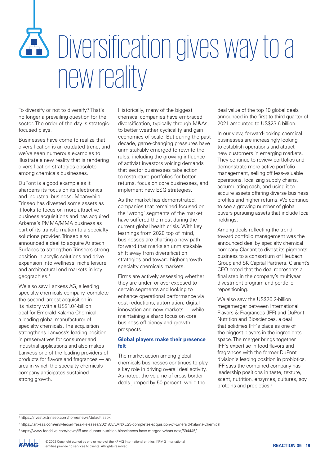### Diversification gives way to a new reality

To diversify or not to diversify? That's no longer a prevailing question for the sector. The order of the day is strategicfocused plays.

Businesses have come to realize that diversification is an outdated trend, and we've seen numerous examples to illustrate a new reality that is rendering diversification strategies obsolete among chemicals businesses.

DuPont is a good example as it sharpens its focus on its electronics and industrial business. Meanwhile, Trinseo has divested some assets as it looks to focus on more attractive business acquisitions and has acquired Arkema's PMMA/MMA business as part of its transformation to a specialty solutions provider. Trinseo also announced a deal to acquire Aristech Surfaces to strengthen Trinseo's strong position in acrylic solutions and drive expansion into wellness, niche leisure and architectural end markets in key geographies.1

We also saw Lanxess AG, a leading specialty chemicals company, complete the second-largest acquisition in its history with a US\$1.04-billion deal for Emerald Kalama Chemical, a leading global manufacturer of specialty chemicals. The acquisition strengthens Lanxess's leading position in preservatives for consumer and industrial applications and also makes Lanxess one of the leading providers of products for flavors and fragrances — an area in which the specialty chemicals company anticipates sustained strong growth.

Historically, many of the biggest chemical companies have embraced diversification, typically through M&As, to better weather cyclicality and gain economies of scale. But during the past decade, game-changing pressures have unmistakably emerged to rewrite the rules, including the growing influence of activist investors voicing demands that sector businesses take action to restructure portfolios for better returns, focus on core businesses, and implement new ESG strategies.

As the market has demonstrated, companies that remained focused on the 'wrong' segments of the market have suffered the most during the current global health crisis. With key learnings from 2020 top of mind, businesses are charting a new path forward that marks an unmistakable shift away from diversification strategies and toward higher-growth specialty chemicals markets.

Firms are actively assessing whether they are under- or over-exposed to certain segments and looking to enhance operational performance via cost reductions, automation, digital innovation and new markets — while maintaining a sharp focus on core business efficiency and growth prospects.

### **Global players make their presence felt**

The market action among global chemicals businesses continues to play a key role in driving overall deal activity. As noted, the volume of cross-border deals jumped by 50 percent, while the

deal value of the top 10 global deals announced in the first to third quarter of 2021 amounted to US\$23.6 billion.

In our view, forward-looking chemical businesses are increasingly looking to establish operations and attract new customers in emerging markets. They continue to review portfolios and demonstrate more active portfolio management, selling off less-valuable operations, localizing supply chains, accumulating cash, and using it to acquire assets offering diverse business profiles and higher returns. We continue to see a growing number of global buyers pursuing assets that include local holdings.

Among deals reflecting the trend toward portfolio management was the announced deal by specialty chemical company Clariant to divest its pigments business to a consortium of Heubach Group and SK Capital Partners. Clariant's CEO noted that the deal represents a final step in the company's multiyear divestment program and portfolio repositioning.

We also saw the US\$26.2-billion megamerger between International Flavors & Fragrances (IFF) and DuPont Nutrition and Biosciences, a deal that solidifies IFF's place as one of the biggest players in the ingredients space. The merger brings together IFF's expertise in food flavors and fragrances with the former DuPont division's leading position in probiotics. IFF says the combined company has leadership positions in taste, texture, scent, nutrition, enzymes, cultures, soy proteins and probiotics.3

<sup>3</sup> https://www.fooddive.com/news/iff-and-dupont-nutrition-biosciences-have-merged-whats-next/594445/



<sup>1</sup> https://investor.trinseo.com/home/news/default.aspx

<sup>2</sup> https://lanxess.com/en/Media/Press-Releases/2021/08/LANXESS-completes-acquisition-of-Emerald-Kalama-Chemical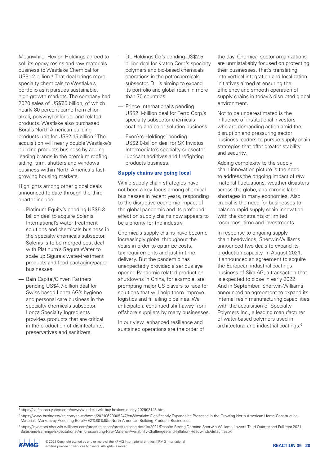Meanwhile, Hexion Holdings agreed to sell its epoxy resins and raw materials business to Westlake Chemical for US\$1.2 billion.4 That deal brings more specialty chemicals to Westlake's portfolio as it pursues sustainable, high-growth markets. The company had 2020 sales of US\$7.5 billion, of which nearly 80 percent came from chloralkali, polyvinyl chloride, and related products. Westlake also purchased Boral's North American building products unit for US\$2.15 billion.<sup>5</sup> The acquisition will nearly double Westlake's building products business by adding leading brands in the premium roofing, siding, trim, shutters and windows business within North America's fastgrowing housing markets.

Highlights among other global deals announced to date through the third quarter include:

- Platinum Equity's pending US\$5.3 billion deal to acquire Solenis International's water treatment solutions and chemicals business in the specialty chemicals subsector. Solenis is to be merged post-deal with Platinum's Segura Water to scale up Sigura's water-treatment products and food packaging/paper businesses.
- Bain Capital/Cinven Partners' pending US\$4.7-billion deal for Swiss-based Lonza AG's hygiene and personal care business in the specialty chemicals subsector. Lonza Specialty Ingredients provides products that are critical in the production of disinfectants, preservatives and sanitizers.
- DL Holdings Co.'s pending US\$2.5 billion deal for Kraton Corp.'s specialty polymers and bio-based chemicals operations in the petrochemicals subsector. DL is aiming to expand its portfolio and global reach in more than 70 countries.
- Prince International's pending US\$2.1-billion deal for Ferro Corp.'s specialty subsector chemicals coating and color solution business.
- EverArc Holdings' pending US\$2.0-billion deal for SK Invictus Intermediate's specialty subsector lubricant additives and firefighting products business.

### **Supply chains are going local**

While supply chain strategies have not been a key focus among chemical businesses in recent years, responding to the disruptive economic impact of the global pandemic and its profound effect on supply chains now appears to be a priority for the industry.

Chemicals supply chains have become increasingly global throughout the years in order to optimize costs, tax requirements and just-in-time delivery. But the pandemic has unexpectedly provided a serious eye opener. Pandemic-related production shutdowns in China, for example, are prompting major US players to race for solutions that will help them improve logistics and fill ailing pipelines. We anticipate a continued shift away from offshore suppliers by many businesses.

In our view, enhanced resilience and sustained operations are the order of

the day. Chemical sector organizations are unmistakably focused on protecting their businesses. That's translating into vertical integration and localization initiatives aimed at ensuring the efficiency and smooth operation of supply chains in today's disrupted global environment.

Not to be underestimated is the influence of institutional investors who are demanding action amid the disruption and pressuring sector business leaders to pursue supply chain strategies that offer greater stability and security.

Adding complexity to the supply chain innovation picture is the need to address the ongoing impact of raw material fluctuations, weather disasters across the globe, and chronic labor shortages in many economies. Also crucial is the need for businesses to balance rapid supply chain innovation with the constraints of limited resources, time and investments.

In response to ongoing supply chain headwinds, Sherwin-Williams announced two deals to expand its production capacity. In August 2021, it announced an agreement to acquire the European industrial coatings business of Sika AG, a transaction that is expected to close in early 2022. And in September, Sherwin-Williams announced an agreement to expand its internal resin manufacturing capabilities with the acquisition of Specialty Polymers Inc., a leading manufacturer of water-based polymers used in architectural and industrial coatings.6

<sup>6</sup> https://investors.sherwin-williams.com/press-releases/press-release-details/2021/Despite-Strong-Demand-Sherwin-Williams-Lowers-Third-Quarter-and-Full-Year-2021- Sales-and-Earnings-Expectations-Amid-Escalating-Raw-Material-Availability-Challenges-and-Inflation-Headwinds/default.aspx



<sup>4</sup> https://ca.finance.yahoo.com/news/westlake-wlk-buy-hexions-epoxy-202908143.html

<sup>5</sup> https://www.businesswire.com/news/home/20210620005247/en/Westlake-Significantly-Expands-its-Presence-in-the-Growing-North-American-Home-Construction-Materials-Markets-by-Acquiring-Boral%E2%80%99s-North-American-Building-Products-Businesses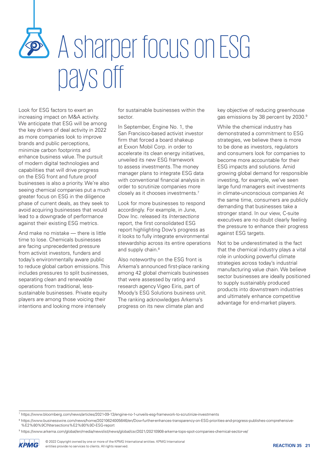### A sharper focus on ESG pays off

Look for ESG factors to exert an increasing impact on M&A activity. We anticipate that ESG will be among the key drivers of deal activity in 2022 as more companies look to improve brands and public perceptions, minimize carbon footprints and enhance business value. The pursuit of modern digital technologies and capabilities that will drive progress on the ESG front and future proof businesses is also a priority. We're also seeing chemical companies put a much greater focus on ESG in the diligence phase of current deals, as they seek to avoid acquiring businesses that would lead to a downgrade of performance against their existing ESG metrics.

And make no mistake — there is little time to lose. Chemicals businesses are facing unprecedented pressure from activist investors, funders and today's environmentally aware public to reduce global carbon emissions. This includes pressures to split businesses, separating clean and renewable operations from traditional, lesssustainable businesses. Private equity players are among those voicing their intentions and looking more intensely

for sustainable businesses within the sector.

In September, Engine No. 1, the San Francisco-based activist investor firm that forced a board shakeup at Exxon Mobil Corp. in order to accelerate its clean energy initiatives, unveiled its new ESG framework to assess investments. The money manager plans to integrate ESG data with conventional financial analysis in order to scrutinize companies more closely as it chooses investments.<sup>7</sup>

it looks to fully integrate environmental stewardship across its entire operations Look for more businesses to respond accordingly. For example, in June, Dow Inc. released its *Intersections* report, the first consolidated ESG report highlighting Dow's progress as and supply chain.<sup>8</sup>

Arkema's announced first-place ranking among 42 global chemicals businesses Also noteworthy on the ESG front is that were assessed by rating and research agency Vigeo Eiris, part of Moody's ESG Solutions business unit. The ranking acknowledges Arkema's progress on its new climate plan and

key objective of reducing greenhouse gas emissions by 38 percent by 2030.9

While the chemical industry has demonstrated a commitment to ESG strategies, we believe there is more to be done as investors, regulators and consumers look for companies to become more accountable for their ESG impacts and solutions. Amid growing global demand for responsible investing, for example, we've seen large fund managers exit investments in climate-unconscious companies At the same time, consumers are publicly demanding that businesses take a stronger stand. In our view, C-suite executives are no doubt clearly feeling the pressure to enhance their progress against ESG targets.

Not to be underestimated is the fact that the chemical industry plays a vital role in unlocking powerful climate strategies across today's industrial manufacturing value chain. We believe sector businesses are ideally positioned to supply sustainably produced products into downstream industries and ultimately enhance competitive advantage for end-market players.

<sup>9</sup> https://www.arkema.com/global/en/media/newslist/news/global/csr/2021/20210908-arkema-tops-spot-companies-chemical-sector-ve/



<sup>7</sup> https://www.bloomberg.com/news/articles/2021-09-13/engine-no-1-unveils-esg-framework-to-scrutinize-investments

<sup>&</sup>lt;sup>8</sup> https://www.businesswire.com/news/home/20210624005646/en/Dow-further-enhances-transparency-on-ESG-priorities-and-progress-publishes-comprehensive-%E2%80%9CINtersections%E2%80%9D-ESG-report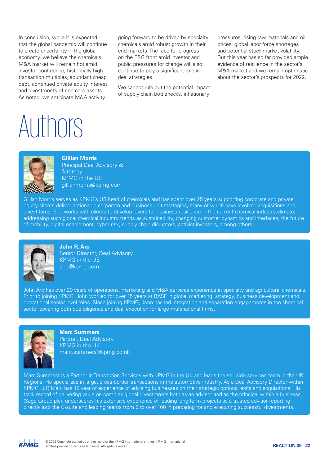In conclusion, while it is expected that the global pandemic will continue to create uncertainty in the global economy, we believe the chemicals M&A market will remain hot amid investor confidence, historically high transaction multiples, abundant cheap debt, continued private equity interest and divestments of non-core assets. As noted, we anticipate M&A activity

going forward to be driven by specialty chemicals amid robust growth in their end markets. The race for progress on the ESG front amid investor and public pressures for change will also continue to play a significant role in deal strategies.

We cannot rule out the potential impact of supply chain bottlenecks, inflationary

pressures, rising raw materials and oil prices, global labor force shortages and potential stock market volatility. But this year has so far provided ample evidence of resilience in the sector's M&A market and we remain optimistic about the sector's prospects for 2022.

### Authors



### **Gillian Morris**

Principal Deal Advisory & **Strategy** KPMG in the US gillianmorris@kpmg.com

Gillian Morris serves as KPMG's US head of chemicals and has spent over 25 years supporting corporate and private equity clients deliver actionable corporate and business unit strategies, many of which have involved acquisitions and divestitures. She works with clients to develop levers for business resilience in the current chemical industry climate, addressing such global chemical industry trends as sustainability, changing customer dynamics and interfaces, the future of mobility, digital enablement, cyber risk, supply chain disruptors, activist investors, among others



**John R. Arp** Senior Director, Deal Advisory KPMG in the US jarp@kpmg.com

John Arp has over 20 years of operations, marketing and M&A services experience in specialty and agricultural chemicals. Prior to joining KPMG, John worked for over 15 years at BASF in global marketing, strategy, business development and operational senior level roles. Since joining KPMG, John has led integration and separation engagements in the chemical sector covering both due diligence and deal execution for large multinational firms.



**Marc Summers** Partner, Deal Advisory KPMG in the UK marc.summers@kpmg.co.uk

Marc Summers is a Partner in Transaction Services with KPMG in the UK and leads the sell side services team in the UK Regions. He specializes in large, cross-border transactions in the automotive industry. As a Deal Advisory Director within KPMG LLP, Marc has 15 year of experience of advising businesses on their strategic options, exits and acquisitions. His track record of delivering value on complex global divestments both as an advisor and as the principal within a business (Sage Group plc), underscores his extensive experience of leading long-term projects as a trusted advisor reporting directly into the C-suite and leading teams from 5 to over 100 in preparing for and executing successful divestments.

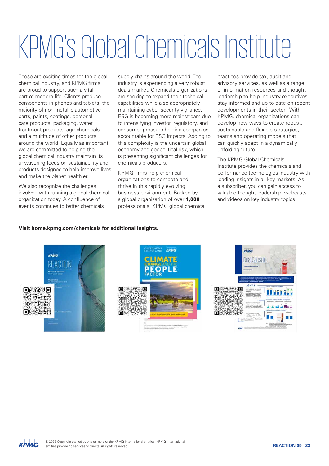### KPMG's GlobalChemicals Institute

These are exciting times for the global chemical industry, and KPMG firms are proud to support such a vital part of modern life. Clients produce components in phones and tablets, the majority of non-metallic automotive parts, paints, coatings, personal care products, packaging, water treatment products, agrochemicals and a multitude of other products around the world. Equally as important, we are committed to helping the global chemical industry maintain its unwavering focus on sustainability and products designed to help improve lives and make the planet healthier.

We also recognize the challenges involved with running a global chemical organization today. A confluence of events continues to batter chemicals

supply chains around the world. The industry is experiencing a very robust deals market. Chemicals organizations are seeking to expand their technical capabilities while also appropriately maintaining cyber security vigilance. ESG is becoming more mainstream due to intensifying investor, regulatory, and consumer pressure holding companies accountable for ESG impacts. Adding to this complexity is the uncertain global economy and geopolitical risk, which is presenting significant challenges for chemicals producers.

KPMG firms help chemical organizations to compete and thrive in this rapidly evolving business environment. Backed by a global organization of over **1,000** professionals, KPMG global chemical practices provide tax, audit and advisory services, as well as a range of information resources and thought leadership to help industry executives stay informed and up-to-date on recent developments in their sector. With KPMG, chemical organizations can develop new ways to create robust, sustainable and flexible strategies, teams and operating models that can quickly adapt in a dynamically unfolding future.

The KPMG Global Chemicals Institute provides the chemicals and performance technologies industry with leading insights in all key markets. As a subscriber, you can gain access to valuable thought leadership, webcasts, and videos on key industry topics.

### **Visit [home.kpmg.com/chemicals](http://home.kpmg.com/chemicals) for additional insights.**